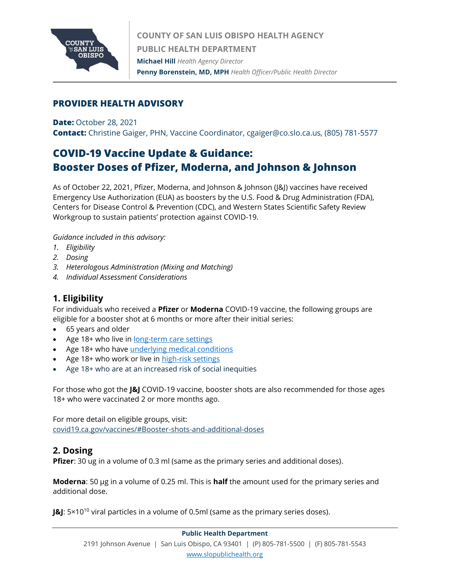

## **PROVIDER HEALTH ADVISORY**

**Date:** October 28, 2021

**Contact:** Christine Gaiger, PHN, Vaccine Coordinator, cgaiger@co.slo.ca.us, (805) 781-5577

# **COVID-19 Vaccine Update & Guidance: Booster Doses of Pfizer, Moderna, and Johnson & Johnson**

As of October 22, 2021, Pfizer, Moderna, and Johnson & Johnson (J&J) vaccines have received Emergency Use Authorization (EUA) as boosters by the U.S. Food & Drug Administration (FDA), Centers for Disease Control & Prevention (CDC), and Western States Scientific Safety Review Workgroup to sustain patients' protection against COVID-19.

*Guidance included in this advisory:*

- *1. Eligibility*
- *2. Dosing*
- *3. Heterologous Administration (Mixing and Matching)*
- *4. Individual Assessment Considerations*

# **1. Eligibility**

For individuals who received a **Pfizer** or **Moderna** COVID-19 vaccine, the following groups are eligible for a booster shot at 6 months or more after their initial series:

- 65 years and older
- Age 18+ who live in [long-term care settings](https://www.cdc.gov/coronavirus/2019-ncov/vaccines/booster-shot.html#long-term-care)
- Age 18+ who have [underlying medical conditions](https://www.cdc.gov/coronavirus/2019-ncov/need-extra-precautions/people-with-medical-conditions.html)
- Age 18+ who work or live in [high-risk settings](https://www.cdc.gov/coronavirus/2019-ncov/vaccines/booster-shot.html#HighRisk)
- Age 18+ who are at an increased risk of social inequities

For those who got the **J&J** COVID-19 vaccine, booster shots are also recommended for those ages 18+ who were vaccinated 2 or more months ago.

For more detail on eligible groups, visit: [covid19.ca.gov/vaccines/#Booster-shots-and-additional-doses](https://covid19.ca.gov/vaccines/#Booster-shots-and-additional-doses)

#### **2. Dosing**

**Pfizer:** 30 ug in a volume of 0.3 ml (same as the primary series and additional doses).

**Moderna**: 50 µg in a volume of 0.25 ml. This is **half** the amount used for the primary series and additional dose.

**J&J**: 5×10<sup>10</sup> viral particles in a volume of 0.5ml (same as the primary series doses).